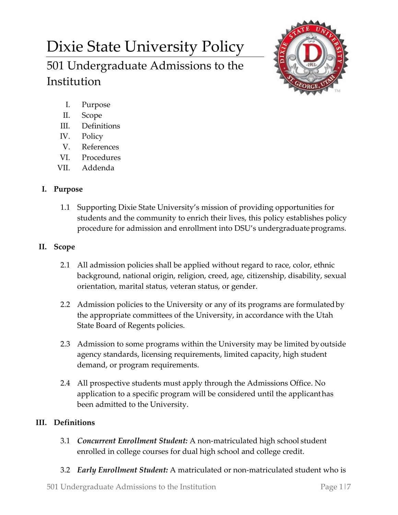# Dixie State University Policy

501 Undergraduate Admissions to the Institution



- I. Purpose
- II. Scope
- III. Definitions
- IV. Policy
- V. References
- VI. Procedures
- VII. Addenda

# **I. Purpose**

1.1 Supporting Dixie State University's mission of providing opportunities for students and the community to enrich their lives, this policy establishes policy procedure for admission and enrollment into DSU's undergraduate programs.

# **II. Scope**

- 2.1 All admission policies shall be applied without regard to race, color, ethnic background, national origin, religion, creed, age, citizenship, disability, sexual orientation, marital status, veteran status, or gender.
- 2.2 Admission policies to the University or any of its programs are formulatedby the appropriate committees of the University, in accordance with the Utah State Board of Regents policies.
- 2.3 Admission to some programs within the University may be limited byoutside agency standards, licensing requirements, limited capacity, high student demand, or program requirements.
- 2.4 All prospective students must apply through the Admissions Office. No application to a specific program will be considered until the applicanthas been admitted to the University.

# **III. Definitions**

- 3.1 *Concurrent Enrollment Student:* A non-matriculated high school student enrolled in college courses for dual high school and college credit.
- 3.2 *Early Enrollment Student:* A matriculated or non-matriculated student who is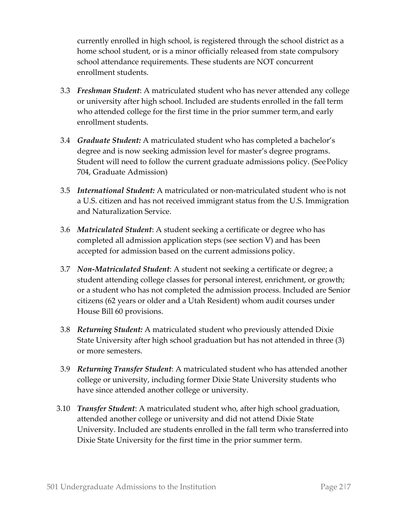currently enrolled in high school, is registered through the school district as a home school student, or is a minor officially released from state compulsory school attendance requirements. These students are NOT concurrent enrollment students.

- 3.3 *Freshman Student*: A matriculated student who has never attended any college or university after high school. Included are students enrolled in the fall term who attended college for the first time in the prior summer term, and early enrollment students.
- 3.4 *Graduate Student:* A matriculated student who has completed a bachelor's degree and is now seeking admission level for master's degree programs. Student will need to follow the current graduate admissions policy. (SeePolicy 704, Graduate Admission)
- 3.5 *International Student:* A matriculated or non-matriculated student who is not a U.S. citizen and has not received immigrant status from the U.S. Immigration and Naturalization Service.
- 3.6 *Matriculated Student*: A student seeking a certificate or degree who has completed all admission application steps (see section V) and has been accepted for admission based on the current admissions policy.
- 3.7 *Non-Matriculated Student*: A student not seeking a certificate or degree; a student attending college classes for personal interest, enrichment, or growth; or a student who has not completed the admission process. Included are Senior citizens (62 years or older and a Utah Resident) whom audit courses under House Bill 60 provisions.
- 3.8 *Returning Student:* A matriculated student who previously attended Dixie State University after high school graduation but has not attended in three (3) or more semesters.
- 3.9 *Returning Transfer Student*: A matriculated student who has attended another college or university, including former Dixie State University students who have since attended another college or university.
- 3.10 *Transfer Student*: A matriculated student who, after high school graduation, attended another college or university and did not attend Dixie State University. Included are students enrolled in the fall term who transferredinto Dixie State University for the first time in the prior summer term.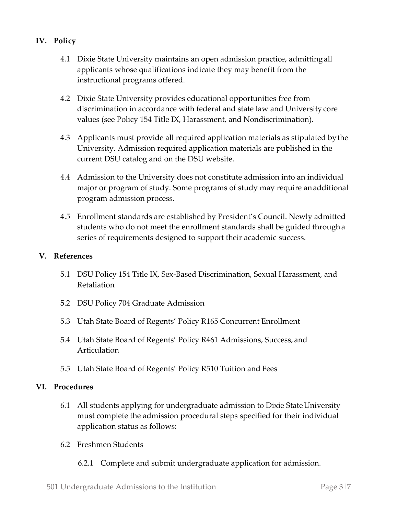## **IV. Policy**

- 4.1 Dixie State University maintains an open admission practice, admittingall applicants whose qualifications indicate they may benefit from the instructional programs offered.
- 4.2 Dixie State University provides educational opportunities free from discrimination in accordance with federal and state law and University core values (see Policy 154 Title IX, Harassment, and Nondiscrimination).
- 4.3 Applicants must provide all required application materials as stipulated bythe University. Admission required application materials are published in the current DSU catalog and on the DSU website.
- 4.4 Admission to the University does not constitute admission into an individual major or program of study. Some programs of study may require anadditional program admission process.
- 4.5 Enrollment standards are established by President's Council. Newly admitted students who do not meet the enrollment standards shall be guided througha series of requirements designed to support their academic success.

## **V. References**

- 5.1 DSU Policy 154 Title IX, Sex-Based Discrimination, Sexual Harassment, and Retaliation
- 5.2 DSU Policy 704 Graduate Admission
- 5.3 Utah State Board of Regents' Policy R165 Concurrent Enrollment
- 5.4 Utah State Board of Regents' Policy R461 Admissions, Success, and Articulation
- 5.5 Utah State Board of Regents' Policy R510 Tuition and Fees

## **VI. Procedures**

- 6.1 All students applying for undergraduate admission to Dixie StateUniversity must complete the admission procedural steps specified for their individual application status as follows:
- 6.2 Freshmen Students
	- 6.2.1 Complete and submit undergraduate application for admission.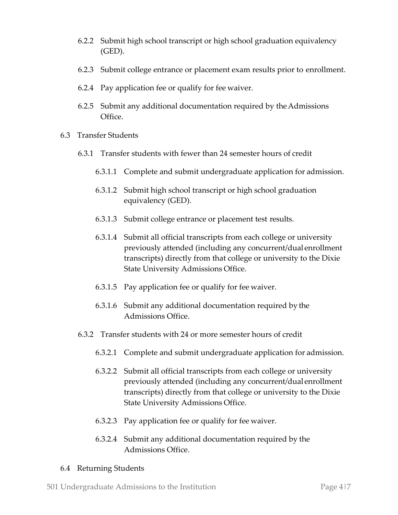- 6.2.2 Submit high school transcript or high school graduation equivalency (GED).
- 6.2.3 Submit college entrance or placement exam results prior to enrollment.
- 6.2.4 Pay application fee or qualify for fee waiver.
- 6.2.5 Submit any additional documentation required by theAdmissions Office.
- 6.3 Transfer Students
	- 6.3.1 Transfer students with fewer than 24 semester hours of credit
		- 6.3.1.1 Complete and submit undergraduate application for admission.
		- 6.3.1.2 Submit high school transcript or high school graduation equivalency (GED).
		- 6.3.1.3 Submit college entrance or placement test results.
		- 6.3.1.4 Submit all official transcripts from each college or university previously attended (including any concurrent/dual enrollment transcripts) directly from that college or university to the Dixie State University Admissions Office.
		- 6.3.1.5 Pay application fee or qualify for fee waiver.
		- 6.3.1.6 Submit any additional documentation required by the Admissions Office.
	- 6.3.2 Transfer students with 24 or more semester hours of credit
		- 6.3.2.1 Complete and submit undergraduate application for admission.
		- 6.3.2.2 Submit all official transcripts from each college or university previously attended (including any concurrent/dual enrollment transcripts) directly from that college or university to the Dixie State University Admissions Office.
		- 6.3.2.3 Pay application fee or qualify for fee waiver.
		- 6.3.2.4 Submit any additional documentation required by the Admissions Office.

## 6.4 Returning Students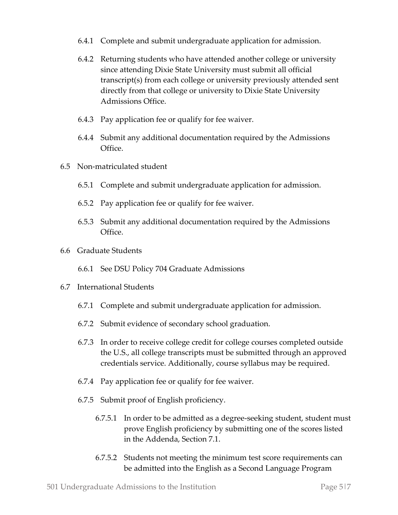- 6.4.1 Complete and submit undergraduate application for admission.
- 6.4.2 Returning students who have attended another college or university since attending Dixie State University must submit all official transcript(s) from each college or university previously attended sent directly from that college or university to Dixie State University Admissions Office.
- 6.4.3 Pay application fee or qualify for fee waiver.
- 6.4.4 Submit any additional documentation required by the Admissions Office.
- 6.5 Non-matriculated student
	- 6.5.1 Complete and submit undergraduate application for admission.
	- 6.5.2 Pay application fee or qualify for fee waiver.
	- 6.5.3 Submit any additional documentation required by the Admissions **Office**
- 6.6 Graduate Students
	- 6.6.1 See DSU Policy 704 Graduate Admissions
- 6.7 International Students
	- 6.7.1 Complete and submit undergraduate application for admission.
	- 6.7.2 Submit evidence of secondary school graduation.
	- 6.7.3 In order to receive college credit for college courses completed outside the U.S., all college transcripts must be submitted through an approved credentials service. Additionally, course syllabus may be required.
	- 6.7.4 Pay application fee or qualify for fee waiver.
	- 6.7.5 Submit proof of English proficiency.
		- 6.7.5.1 In order to be admitted as a degree-seeking student, student must prove English proficiency by submitting one of the scores listed in the Addenda, Section 7.1.
		- 6.7.5.2 Students not meeting the minimum test score requirements can be admitted into the English as a Second Language Program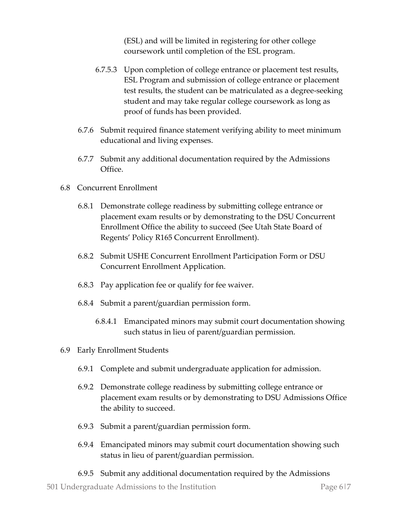(ESL) and will be limited in registering for other college coursework until completion of the ESL program.

- 6.7.5.3 Upon completion of college entrance or placement test results, ESL Program and submission of college entrance or placement test results, the student can be matriculated as a degree-seeking student and may take regular college coursework as long as proof of funds has been provided.
- 6.7.6 Submit required finance statement verifying ability to meet minimum educational and living expenses.
- 6.7.7 Submit any additional documentation required by the Admissions Office.
- 6.8 Concurrent Enrollment
	- 6.8.1 Demonstrate college readiness by submitting college entrance or placement exam results or by demonstrating to the DSU Concurrent Enrollment Office the ability to succeed (See Utah State Board of Regents' Policy R165 Concurrent Enrollment).
	- 6.8.2 Submit USHE Concurrent Enrollment Participation Form or DSU Concurrent Enrollment Application.
	- 6.8.3 Pay application fee or qualify for fee waiver.
	- 6.8.4 Submit a parent/guardian permission form.
		- 6.8.4.1 Emancipated minors may submit court documentation showing such status in lieu of parent/guardian permission.
- 6.9 Early Enrollment Students
	- 6.9.1 Complete and submit undergraduate application for admission.
	- 6.9.2 Demonstrate college readiness by submitting college entrance or placement exam results or by demonstrating to DSU Admissions Office the ability to succeed.
	- 6.9.3 Submit a parent/guardian permission form.
	- 6.9.4 Emancipated minors may submit court documentation showing such status in lieu of parent/guardian permission.
	- 6.9.5 Submit any additional documentation required by the Admissions